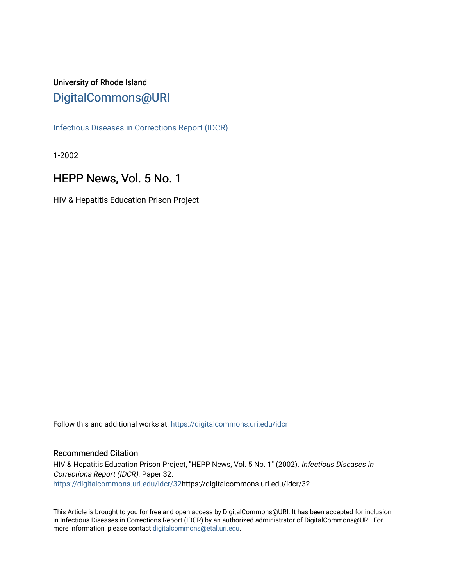# University of Rhode Island [DigitalCommons@URI](https://digitalcommons.uri.edu/)

[Infectious Diseases in Corrections Report \(IDCR\)](https://digitalcommons.uri.edu/idcr)

1-2002

# HEPP News, Vol. 5 No. 1

HIV & Hepatitis Education Prison Project

Follow this and additional works at: [https://digitalcommons.uri.edu/idcr](https://digitalcommons.uri.edu/idcr?utm_source=digitalcommons.uri.edu%2Fidcr%2F32&utm_medium=PDF&utm_campaign=PDFCoverPages)

### Recommended Citation

HIV & Hepatitis Education Prison Project, "HEPP News, Vol. 5 No. 1" (2002). Infectious Diseases in Corrections Report (IDCR). Paper 32. [https://digitalcommons.uri.edu/idcr/32h](https://digitalcommons.uri.edu/idcr/32?utm_source=digitalcommons.uri.edu%2Fidcr%2F32&utm_medium=PDF&utm_campaign=PDFCoverPages)ttps://digitalcommons.uri.edu/idcr/32

This Article is brought to you for free and open access by DigitalCommons@URI. It has been accepted for inclusion in Infectious Diseases in Corrections Report (IDCR) by an authorized administrator of DigitalCommons@URI. For more information, please contact [digitalcommons@etal.uri.edu.](mailto:digitalcommons@etal.uri.edu)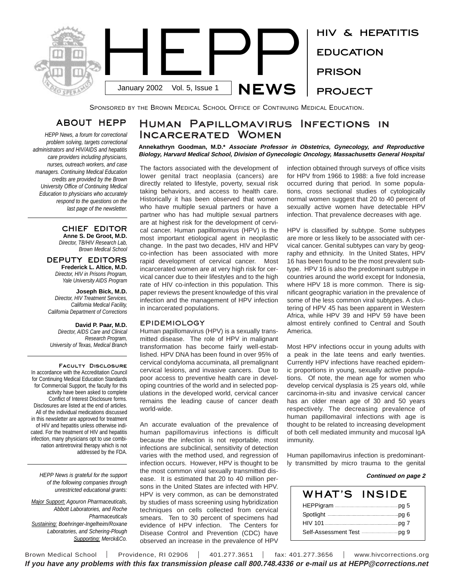

SPONSORED BY THE BROWN MEDICAL SCHOOL OFFICE OF CONTINUING MEDICAL EDUCATION.

# ABOUT HEPP

*HEPP News, a forum for correctional problem solving, targets correctional administrators and HIV/AIDS and hepatitis care providers including physicians, nurses, outreach workers, and case managers. Continuing Medical Education credits are provided by the Brown University Office of Continuing Medical Education to physicians who accurately respond to the questions on the last page of the newsletter.* 

#### CHIEF EDITOR **Anne S. De Groot, M.D.**

*Director, TB/HIV Research Lab, Brown Medical School*

#### DEPUTY EDITORS **Frederick L. Altice, M.D.** *Director, HIV in Prisons Program, Yale University AIDS Program*

**Joseph Bick, M.D.** *Director, HIV Treatment Services, California Medical Facility, California Department of Corrections*

#### **David P. Paar, M.D.** *Director, AIDS Care and Clinical Research Program, University of Texas, Medical Branch*

Faculty Disclosure In accordance with the Accreditation Council for Continuing Medical Education Standards for Commercial Support, the faculty for this activity have been asked to complete Conflict of Interest Disclosure forms. Disclosures are listed at the end of articles. All of the individual medications discussed in this newsletter are approved for treatment of HIV and hepatitis unless otherwise indicated. For the treatment of HIV and hepatitis infection, many physicians opt to use combination antiretroviral therapy which is not addressed by the FDA.

*HEPP News is grateful for the support of the following companies through unrestricted educational grants:*

*Major Support: Agouron Pharmaceuticals, Abbott Laboratories, and Roche Pharmaceuticals Sustaining: Boehringer-Ingelheim/Roxane Laboratories, and Schering-Plough Supporting: Merck&Co.*

# Human Papillomavirus Infections in Incarcerated Women

**Annekathryn Goodman, M.D.\* Associate Professor in Obstetrics, Gynecology, and Reproductive** Biology, Harvard Medical School, Division of Gynecologic Oncology, Massachusetts General Hospital

The factors associated with the development of lower genital tract neoplasia (cancers) are directly related to lifestyle, poverty, sexual risk taking behaviors, and access to health care. Historically it has been observed that women who have multiple sexual partners or have a partner who has had multiple sexual partners are at highest risk for the development of cervical cancer. Human papillomavirus (HPV) is the most important etiological agent in neoplastic change. In the past two decades, HIV and HPV co-infection has been associated with more rapid development of cervical cancer. Most incarcerated women are at very high risk for cervical cancer due to their lifestyles and to the high rate of HIV co-infection in this population. This paper reviews the present knowledge of this viral infection and the management of HPV infection in incarcerated populations.

#### EPIDEMIOLOGY

Human papillomavirus (HPV) is a sexually transmitted disease. The role of HPV in malignant transformation has become fairly well-established. HPV DNA has been found in over 95% of cervical condyloma accuminata, all premalignant cervical lesions, and invasive cancers. Due to poor access to preventive health care in developing countries of the world and in selected populations in the developed world, cervical cancer remains the leading cause of cancer death world-wide.

An accurate evaluation of the prevalence of human papillomavirus infections is difficult because the infection is not reportable, most infections are subclinical, sensitivity of detection varies with the method used, and regression of infection occurs. However, HPV is thought to be the most common viral sexually transmitted disease. It is estimated that 20 to 40 million persons in the United States are infected with HPV. HPV is very common, as can be demonstrated by studies of mass screening using hybridization techniques on cells collected from cervical smears. Ten to 30 percent of specimens had evidence of HPV infection. The Centers for Disease Control and Prevention (CDC) have observed an increase in the prevalence of HPV

infection obtained through surveys of office visits for HPV from 1966 to 1988: a five fold increase occurred during that period. In some populations, cross sectional studies of cytologically normal women suggest that 20 to 40 percent of sexually active women have detectable HPV infection. That prevalence decreases with age.

HPV is classified by subtype. Some subtypes are more or less likely to be associated with cervical cancer. Genital subtypes can vary by geography and ethnicity. In the United States, HPV 16 has been found to be the most prevalent subtype. HPV 16 is also the predominant subtype in countries around the world except for Indonesia, where HPV 18 is more common. There is significant geographic variation in the prevalence of some of the less common viral subtypes. A clustering of HPV 45 has been apparent in Western Africa, while HPV 39 and HPV 59 have been almost entirely confined to Central and South America.

Most HPV infections occur in young adults with a peak in the late teens and early twenties. Currently HPV infections have reached epidemic proportions in young, sexually active populations. Of note, the mean age for women who develop cervical dysplasia is 25 years old, while carcinoma-in-situ and invasive cervical cancer has an older mean age of 30 and 50 years respectively. The decreasing prevalence of human papillomaviral infections with age is thought to be related to increasing development of both cell mediated immunity and mucosal IgA immunity.

Human papillomavirus infection is predominantly transmitted by micro trauma to the genital

#### **Continued on page 2**

| WHAT'S                                                       | INSIDE |
|--------------------------------------------------------------|--------|
|                                                              |        |
| Spotlight <b>Construct Contract Construct Construct</b> Dg 6 |        |
|                                                              |        |
|                                                              |        |

Brown Medical School | Providence, RI 02906 | 401.277.3651 | fax: 401.277.3656 | www.hivcorrections.org If you have any problems with this fax transmission please call 800.748.4336 or e-mail us at HEPP@corrections.net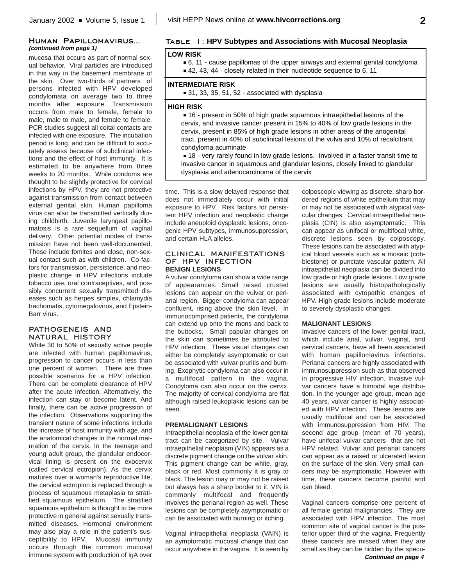#### Human Papillomavirus... **(continued from page 1)**

mucosa that occurs as part of normal sexual behavior. Viral particles are introduced in this way in the basement membrane of the skin. Over two-thirds of partners of persons infected with HPV developed condylomata on average two to three months after exposure. Transmission occurs from male to female, female to male, male to male, and female to female. PCR studies suggest all coital contacts are infected with one exposure. The incubation period is long, and can be difficult to accurately assess because of subclinical infections and the effect of host immunity. It is estimated to be anywhere from three weeks to 20 months. While condoms are thought to be slightly protective for cervical infections by HPV, they are not protective against transmission from contact between external genital skin. Human papilloma virus can also be transmitted vertically during childbirth. Juvenile laryngeal papillomatosis is a rare sequellum of vaginal delivery. Other potential modes of transmission have not been well-documented. These include fomites and close, non-sexual contact such as with children. Co-factors for transmission, persistence, and neoplastic change in HPV infections include tobacco use, oral contraceptives, and possibly concurrent sexually transmitted diseases such as herpes simplex, chlamydia trachomatis, cytomegalovirus, and Epstein-Barr virus.

#### PATHOGENEIS AND NATURAL HISTORY

While 30 to 50% of sexually active people are infected with human papillomavirus, progression to cancer occurs in less than one percent of women. There are three possible scenarios for a HPV infection. There can be complete clearance of HPV after the acute infection. Alternatively, the infection can stay or become latent. And finally, there can be active progression of the infection. Observations supporting the transient nature of some infections include the increase of host immunity with age, and the anatomical changes in the normal maturation of the cervix. In the teenage and young adult group, the glandular endocervical lining is present on the exocervix (called cervical ectropion). As the cervix matures over a woman's reproductive life, the cervical ectropion is replaced through a process of squamous metaplasia to stratified squamous epithelium. The stratified squamous epithelium is thought to be more protective in general against sexually transmitted diseases. Hormonal environment may also play a role in the patient's susceptibility to HPV. Mucosal immunity occurs through the common mucosal immune system with production of IgA over

### Table 1: **HPV Subtypes and Associations with Mucosal Neoplasia**

#### **LOW RISK**

- G 6, 11 cause papillomas of the upper airways and external genital condyloma
- $=$  42, 43, 44 closely related in their nucleotide sequence to 6, 11

#### **INTERMEDIATE RISK**

 $=$  31, 33, 35, 51, 52 - associated with dysplasia

#### **HIGH RISK**

 $\blacksquare$  16 - present in 50% of high grade squamous intraepithelial lesions of the cervix, and invasive cancer present in 15% to 40% of low grade lesions in the cervix, present in 85% of high grade lesions in other areas of the anogenital tract, present in 40% of subclinical lesions of the vulva and 10% of recalcitrant condyloma acuminate

**= 18 - very rarely found in low grade lesions. Involved in a faster transit time to** invasive cancer in squamous and glandular lesions, closely linked to glandular dysplasia and adenocarcinoma of the cervix

time. This is a slow delayed response that does not immediately occur with initial exposure to HPV. Risk factors for persistent HPV infection and neoplastic change include aneuploid dysplastic lesions, oncogenic HPV subtypes, immunosuppression, and certain HLA alleles.

#### CLINICAL MANIFESTATIONS OF HPV INFECTION **BENIGN LESIONS**

A vulvar condyloma can show a wide range of appearances. Small raised crusted lesions can appear on the vulvar or perianal region. Bigger condyloma can appear confluent, rising above the skin level. In immunocomprised patients, the condyloma can extend up onto the mons and back to the buttocks. Small papular changes on the skin can sometimes be attributed to HPV infection. These visual changes can either be completely asymptomatic or can be associated with vulvar pruritis and burning. Exophytic condyloma can also occur in a multifocal pattern in the vagina. Condyloma can also occur on the cervix. The majority of cervical condyloma are flat although raised leukoplakic lesions can be seen.

#### **PREMALIGNANT LESIONS**

Intraepithelial neoplasia of the lower genital tract can be categorized by site. Vulvar intraepithelial neoplasm (VIN) appears as a discrete pigment change on the vulvar skin. This pigment change can be white, gray, black or red. Most commonly it is gray to black. The lesion may or may not be raised but always has a sharp border to it. VIN is commonly multifocal and frequently involves the perianal region as well. These lesions can be completely asymptomatic or can be associated with burning or itching.

Vaginal intraepithelial neoplasia (VAIN) is an aymptomatic mucosal change that can occur anywhere in the vagina. It is seen by colposcopic viewing as discrete, sharp bordered regions of white epithelium that may or may not be associated with atypical vascular changes. Cervical intraepithelial neoplasia (CIN) is also asymptomatic. This can appear as unifocal or multifocal white, discrete lesions seen by colposcopy. These lesions can be associated with atypical blood vessels such as a mosaic (cobblestone) or punctate vascular pattern. All intraepithelial neoplasia can be divided into low grade or high grade lesions. Low grade lesions are usually histopathologically associated with cytopathic changes of HPV. High grade lesions include moderate to severely dysplastic changes.

#### **MALIGNANT LESIONS**

Invasive cancers of the lower genital tract, which include anal, vulvar, vaginal, and cervical cancers, have all been associated with human papillomavirus infections. Perianal cancers are highly associated with immunosuppression such as that observed in progressive HIV infection. Invasive vulvar cancers have a bimodal age distribution. In the younger age group, mean age 40 years, vulvar cancer is highly associated with HPV infection. These lesions are usually multifocal and can be associated with immunosuppression from HIV. The second age group (mean of 70 years), have unifocal vulvar cancers that are not HPV related. Vulvar and perianal cancers can appear as a raised or ulcerated lesion on the surface of the skin. Very small cancers may be asymptomatic. However with time, these cancers become painful and can bleed.

Vaginal cancers comprise one percent of all female genital malignancies. They are associated with HPV infection. The most common site of vaginal cancer is the posterior upper third of the vagina. Frequently these cancers are missed when they are small as they can be hidden by the specu-**Continued on page 4**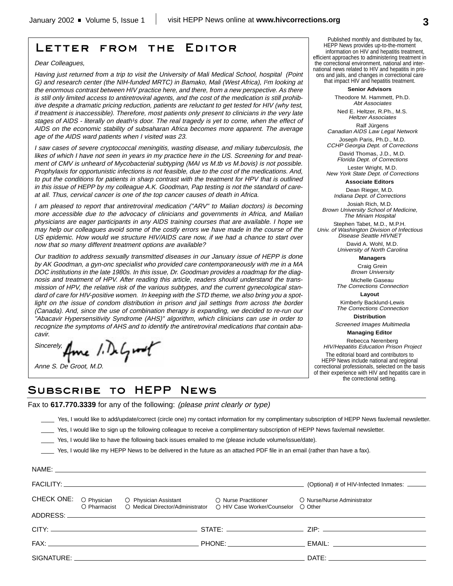# Letter from the Editor

#### Dear Colleagues,

Having just returned from <sup>a</sup> trip to visit the University of Mali Medical School, hospital (Point G) and research center (the NIH-funded MRTC) in Bamako, Mali (West Africa), I'm looking at the enormous contrast between HIV practice here, and there, from <sup>a</sup> new perspective. As there is still only limited access to antiretroviral agents, and the cost of the medication is still prohibitive despite <sup>a</sup> dramatic pricing reduction, patients are reluctant to get tested for HIV (why test, if treatment is inaccessible). Therefore, most patients only present to clinicians in the very late stages of AIDS - literally on death<sup>1</sup>s door. The real tragedy is yet to come, when the effect of AIDS on the economic stability of subsaharan Africa becomes more apparent. The average age of the AIDS ward patients when I visited was 23.

I saw cases of severe cryptococcal meningitis, wasting disease, and miliary tuberculosis, the likes of which I have not seen in years in my practice here in the US. Screening for and treatment of CMV is unheard of Mycobacterial subtyping (MAI vs M.tb vs M.bovis) is not possible. Prophylaxis for opportunistic infections is not feasible, due to the cost of the medications. And, to put the conditions for patients in sharp contrast with the treatment for HPV that is outlined in this issue of HEPP by my colleague A.K. Goodman, Pap testing is not the standard of careat all. Thus, cervical cancer is one of the top cancer causes of death in Africa.

I am pleased to report that antiretroviral medication ("ARV" to Malian doctors) is becoming more accessible due to the advocacy of clinicians and governments in Africa, and Malian physicians are eager participants in any AIDS training courses that are available. I hope we may help our colleagues avoid some of the costly errors we have made in the course of the US epidemic. How would we structure HIV/AIDS care now, if we had <sup>a</sup> chance to start over now that so many different treatment options are available?

Our tradition to address sexually transmitted diseases in our January issue of HEPP is done by AK Goodman, <sup>a</sup> gyn-onc specialist who provided care contemporaneously with me in <sup>a</sup> MA DOC institutions in the late 1980s. In this issue, Dr. Goodman provides <sup>a</sup> roadmap for the diagnosis and treatment of HPV. After reading this article, readers should understand the transmission of HPV, the relative risk of the various subtypes, and the current gynecological standard of care for HIV-positive women. In keeping with the STD theme, we also bring you <sup>a</sup> spotlight on the issue of condom distribution in prison and jail settings from across the border (Canada). And, since the use of combination therapy is expanding, we decided to re-run our "Abacavir Hypersensitivity Syndrome (AHS)" algorithm, which clinicians can use in order to recognize the symptoms of AHS and to identify the antiretroviral medications that contain abacavir.

Sincerely, Ame 1. DeGrad

Anne S. De Groot, M.D.

NAME:

Published monthly and distributed by fax, HEPP News provides up-to-the-moment information on HIV and hepatitis treatment, efficient approaches to administering treatment in the correctional environment, national and international news related to HIV and hepatitis in prisons and jails, and changes in correctional care that impact HIV and hepatitis treatment.

**Senior Advisors**

Theodore M. Hammett, Ph.D. Abt Associates

Ned E. Heltzer, R.Ph., M.S. Heltzer Associates Ralf Jürgens

Canadian AIDS Law Legal Network Joseph Paris, Ph.D., M.D.

CCHP Georgia Dept. of Corrections David Thomas, J.D., M.D.

Florida Dept. of Corrections Lester Wright, M.D.

New York State Dept. of Corrections **Associate Editors**

Dean Rieger, M.D.

Indiana Dept. of Corrections Josiah Rich, M.D.

Brown University School of Medicine, The Miriam Hospital

Stephen Tabet, M.D., M.P.H. Univ. of Washington Division of Infectious Disease Seattle HIVNET

> David A. Wohl, M.D. University of North Carolina

> > **Managers**

Craig Grein Brown University

Michelle Gaseau The Corrections Connection

**Layout**

Kimberly Backlund-Lewis The Corrections Connection

**Distribution**

Screened Images Multimedia

#### **Managing Editor** Rebecca Nerenberg

HIV/Hepatitis Education Prison Project The editorial board and contributors to HEPP News include national and regional correctional professionals, selected on the basis of their experience with HIV and hepatitis care in the correctional setting.

# Subscribe to HEPP News

Fax to **617.770.3339** for any of the following: (please print clearly or type)

\_\_\_\_ Yes, I would like to add/update/correct (circle one) my contact information for my complimentary subscription of HEPP News fax/email newsletter.

Yes, I would like to sign up the following colleague to receive a complimentary subscription of HEPP News fax/email newsletter.

\_\_\_\_ Yes, I would like to have the following back issues emailed to me (please include volume/issue/date).

\_\_\_\_ Yes, I would like my HEPP News to be delivered in the future as an attached PDF file in an email (rather than have a fax).

|  |                                                                                                                                                        | (Optional) # of HIV-Infected Inmates: _____                                                                                                                                                                                    |
|--|--------------------------------------------------------------------------------------------------------------------------------------------------------|--------------------------------------------------------------------------------------------------------------------------------------------------------------------------------------------------------------------------------|
|  |                                                                                                                                                        |                                                                                                                                                                                                                                |
|  | CHECK ONE: O Physician O Physician Assistant O Nurse Practitioner<br>O Pharmacist O Medical Director/Administrator O HIV Case Worker/Counselor O Other | O Nurse/Nurse Administrator                                                                                                                                                                                                    |
|  |                                                                                                                                                        |                                                                                                                                                                                                                                |
|  |                                                                                                                                                        |                                                                                                                                                                                                                                |
|  |                                                                                                                                                        |                                                                                                                                                                                                                                |
|  |                                                                                                                                                        | DATE: the contract of the contract of the contract of the contract of the contract of the contract of the contract of the contract of the contract of the contract of the contract of the contract of the contract of the cont |
|  |                                                                                                                                                        |                                                                                                                                                                                                                                |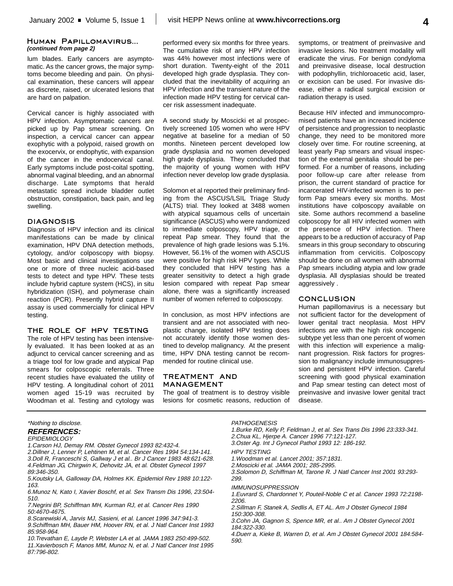#### Human Papillomavirus... **(continued from page 2)**

lum blades. Early cancers are asymptomatic. As the cancer grows, the major symptoms become bleeding and pain. On physical examination, these cancers will appear as discrete, raised, or ulcerated lesions that are hard on palpation.

Cervical cancer is highly associated with HPV infection. Asymptomatic cancers are picked up by Pap smear screening. On inspection, a cervical cancer can appear exophytic with a polypoid, raised growth on the exocervix, or endophytic, with expansion of the cancer in the endocervical canal. Early symptoms include post-coital spotting, abnormal vaginal bleeding, and an abnormal discharge. Late symptoms that herald metastatic spread include bladder outlet obstruction, constipation, back pain, and leg swelling.

#### DIAGNOSIS

Diagnosis of HPV infection and its clinical manifestations can be made by clinical examination, HPV DNA detection methods, cytology, and/or colposcopy with biopsy. Most basic and clinical investigations use one or more of three nucleic acid-based tests to detect and type HPV. These tests include hybrid capture system (HCS), in situ hybridization (ISH), and polymerase chain reaction (PCR). Presently hybrid capture II assay is used commercially for clinical HPV testing.

#### THE ROLE OF HPV TESTING

The role of HPV testing has been intensively evaluated. It has been looked at as an adjunct to cervical cancer screening and as a triage tool for low grade and atypical Pap smears for colposcopic referrals. Three recent studies have evaluated the utility of HPV testing. A longitudinal cohort of 2011 women aged 15-19 was recruited by Woodman et al. Testing and cytology was

performed every six months for three years. The cumulative risk of any HPV infection was 44% however most infections were of short duration. Twenty-eight of the 2011 developed high grade dysplasia. They concluded that the inevitability of acquiring an HPV infection and the transient nature of the infection made HPV testing for cervical cancer risk assessment inadequate.

A second study by Moscicki et al prospectively screened 105 women who were HPV negative at baseline for a median of 50 months. Nineteen percent developed low grade dysplasia and no women developed high grade dysplasia. They concluded that the majority of young women with HPV infection never develop low grade dysplasia.

Solomon et al reported their preliminary finding from the ASCUS/LSIL Triage Study (ALTS) trial. They looked at 3488 women with atypical squamous cells of uncertain significance (ASCUS) who were randomized to immediate colposcopy, HPV triage, or repeat Pap smear. They found that the prevalence of high grade lesions was 5.1%. However, 56.1% of the women with ASCUS were positive for high risk HPV types. While they concluded that HPV testing has a greater sensitivity to detect a high grade lesion compared with repeat Pap smear alone, there was a significantly increased number of women referred to colposcopy.

In conclusion, as most HPV infections are transient and are not associated with neoplastic change, isolated HPV testing does not accurately identify those women destined to develop malignancy. At the present time, HPV DNA testing cannot be recommended for routine clinical use.

#### TREATMENT AND MANAGEMENT

The goal of treatment is to destroy visible lesions for cosmetic reasons, reduction of

symptoms, or treatment of preinvasive and invasive lesions. No treatment modality will eradicate the virus. For benign condyloma and preinvasive disease, local destruction with podophyllin, trichloroacetic acid, laser, or excision can be used. For invasive disease, either a radical surgical excision or radiation therapy is used.

Because HIV infected and immunocompromised patients have an increased incidence of persistence and progression to neoplastic change, they need to be monitored more closely over time. For routine screening, at least yearly Pap smears and visual inspection of the external genitalia should be performed. For a number of reasons, including poor follow-up care after release from prison, the current standard of practice for incarcerated HIV-infected women is to perform Pap smears every six months. Most institutions have colposcopy available on site. Some authors recommend a baseline colposcopy for all HIV infected women with the presence of HPV infection. There appears to be a reduction of accuracy of Pap smears in this group secondary to obscuring inflammation from cervicitis. Colposcopy should be done on all women with abnormal Pap smears including atypia and low grade dysplasia. All dysplasias should be treated aggressively .

#### **CONCLUSION**

Human papillomavirus is a necessary but not sufficient factor for the development of lower genital tract neoplasia. Most HPV infections are with the high risk oncogenic subtype yet less than one percent of women with this infection will experience a malignant progression. Risk factors for progression to malignancy include immunosuppression and persistent HPV infection. Careful screening with good physical examination and Pap smear testing can detect most of preinvasive and invasive lower genital tract disease.

#### \*Nothing to disclose.

# **REFERENCES:**

**EPIDEMIOLOGY** 

1.Carson HJ, Demay RM. Obstet Gynecol 1993 82:432-4. 2. Dillner J, Lenner P, Lehtinen M, et al. Cancer Res 1994 54:134-141. 3.Doll R, Franceschi S, Gallway J et al.. Br J Cancer 1983 48:621-628. 4.Feldman JG, Chirgwin K, Dehovitz JA, et al. Obstet Gynecol 1997 89:346-350.

- 5.Koutsky LA, Galloway DA, Holmes KK. Epidemiol Rev 1988 10:122- 163.
- 6.Munoz N, Kato I, Xavier Boschf, et al. Sex Transm Dis 1996, 23:504- 510.
- 7.Negrini BP, Schiffman MH, Kurman RJ, et al. Cancer Res 1990 50:4670-4675.
- 8.Scarewiski A, Jarvis MJ, Sasieni, et al. Lancet 1996 347:941-3. 9.Schiffman MH, Bauer HM, Hoover RN, et al. J Natl Cancer Inst 1993 85:958-964.
- 10.Trevathan E, Layde P, Webster LA et al. JAMA 1983 250:499-502. 11.Xavierbosch F, Manos MM, Munoz N, et al. J Natl Cancer Inst 1995 87:796-802.

#### **PATHOGENESIS**

- 1.Burke RD, Kelly P, Feldman J, et al. Sex Trans Dis 1996 23:333-341. 2.Chua KL, Hjerpe A. Cancer 1996 77:121-127. 3.Oster Ag. Int J Gynecol Pathol 1993 12: 186-192. HPV TESTING 1.Woodman et al. Lancet 2001; 357:1831.
- 2.Moscicki et al. JAMA 2001; 285-2995.
- 3.Solomon D, Schiffman M, Tarone R. J Natl Cancer Inst 2001 93:293- 299.
- IMMUNOSUPPRESSION
- 1.Euvrard S, Chardonnet Y, Pouteil-Noble C et al. Cancer 1993 72:2198- 2206.
- 2.Sillman F, Stanek A, Sedlis A, ET AL. Am J Obstet Gynecol 1984 150:300-308.
- 3.Cohn JA, Gagnon S, Spence MR, et al.. Am J Obstet Gynecol 2001 184:322-330.
- 4.Duerr a, Kieke B, Warren D, et al. Am J Obstet Gynecol 2001 184:584- 590.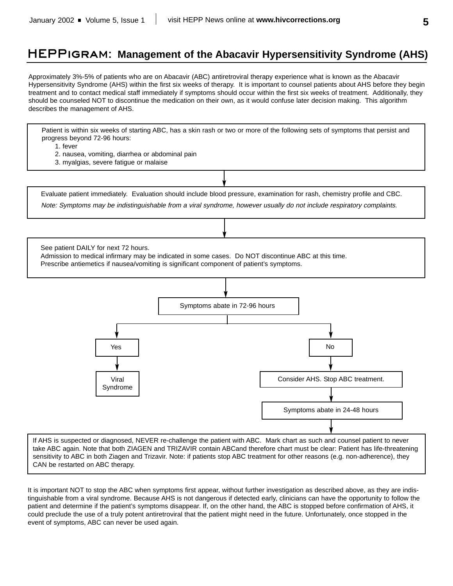# HEPPigram: **Management of the Abacavir Hypersensitivity Syndrome (AHS)**

Approximately 3%-5% of patients who are on Abacavir (ABC) antiretroviral therapy experience what is known as the Abacavir Hypersensitivity Syndrome (AHS) within the first six weeks of therapy. It is important to counsel patients about AHS before they begin treatment and to contact medical staff immediately if symptoms should occur within the first six weeks of treatment. Additionally, they should be counseled NOT to discontinue the medication on their own, as it would confuse later decision making. This algorithm describes the management of AHS.

Patient is within six weeks of starting ABC, has a skin rash or two or more of the following sets of symptoms that persist and progress beyond 72-96 hours:

- 1. fever
- 2. nausea, vomiting, diarrhea or abdominal pain
- 3. myalgias, severe fatigue or malaise

Evaluate patient immediately. Evaluation should include blood pressure, examination for rash, chemistry profile and CBC.

Note: Symptoms may be indistinguishable from <sup>a</sup> viral syndrome, however usually do not include respiratory complaints.

See patient DAILY for next 72 hours.

Admission to medical infirmary may be indicated in some cases. Do NOT discontinue ABC at this time.

Prescribe antiemetics if nausea/vomiting is significant component of patient's symptoms.



If AHS is suspected or diagnosed, NEVER re-challenge the patient with ABC. Mark chart as such and counsel patient to never take ABC again. Note that both ZIAGEN and TRIZAVIR contain ABCand therefore chart must be clear: Patient has life-threatening sensitivity to ABC in both Ziagen and Trizavir. Note: if patients stop ABC treatment for other reasons (e.g. non-adherence), they CAN be restarted on ABC therapy.

It is important NOT to stop the ABC when symptoms first appear, without further investigation as described above, as they are indistinguishable from a viral syndrome. Because AHS is not dangerous if detected early, clinicians can have the opportunity to follow the patient and determine if the patient's symptoms disappear. If, on the other hand, the ABC is stopped before confirmation of AHS, it could preclude the use of a truly potent antiretroviral that the patient might need in the future. Unfortunately, once stopped in the event of symptoms, ABC can never be used again.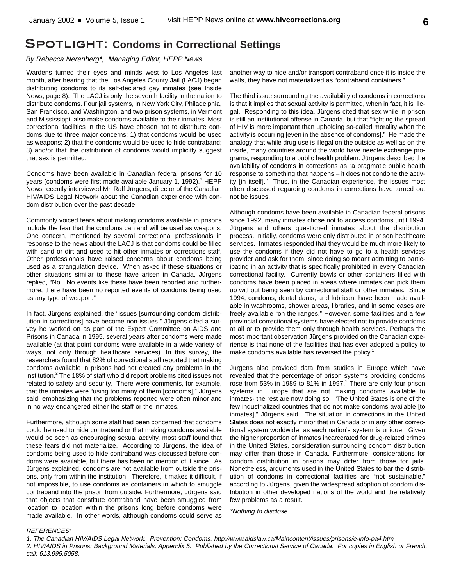# Spotlight: **Condoms in Correctional Settings**

#### By Rebecca Nerenberg\*, Managing Editor, HEPP News

Wardens turned their eyes and minds west to Los Angeles last month, after hearing that the Los Angeles County Jail (LACJ) began distributing condoms to its self-declared gay inmates (see Inside News, page 8). The LACJ is only the seventh facility in the nation to distribute condoms. Four jail systems, in New York City, Philadelphia, San Francisco, and Washington, and two prison systems, in Vermont and Mississippi, also make condoms available to their inmates. Most correctional facilities in the US have chosen not to distribute condoms due to three major concerns: 1) that condoms would be used as weapons; 2) that the condoms would be used to hide contraband; 3) and/or that the distribution of condoms would implicitly suggest that sex is permitted.

Condoms have been available in Canadian federal prisons for 10 years (condoms were first made available January 1, 1992).<sup>1</sup> HEPP News recently interviewed Mr. Ralf Jürgens, director of the Canadian HIV/AIDS Legal Network about the Canadian experience with condom distribution over the past decade.

Commonly voiced fears about making condoms available in prisons include the fear that the condoms can and will be used as weapons. One concern, mentioned by several correctional professionals in response to the news about the LACJ is that condoms could be filled with sand or dirt and used to hit other inmates or corrections staff. Other professionals have raised concerns about condoms being used as a strangulation device. When asked if these situations or other situations similar to these have arisen in Canada, Jürgens replied, "No. No events like these have been reported and furthermore, there have been no reported events of condoms being used as any type of weapon."

In fact, Jürgens explained, the "issues [surrounding condom distribution in corrections] have become non-issues." Jürgens cited a survey he worked on as part of the Expert Committee on AIDS and Prisons in Canada in 1995, several years after condoms were made available (at that point condoms were available in a wide variety of ways, not only through healthcare services). In this survey, the researchers found that 82% of correctional staff reported that making condoms available in prisons had not created any problems in the institution.<sup>2</sup> The 18% of staff who did report problems cited issues not related to safety and security. There were comments, for example, that the inmates were "using too many of them [condoms]," Jürgens said, emphasizing that the problems reported were often minor and in no way endangered either the staff or the inmates.

Furthermore, although some staff had been concerned that condoms could be used to hide contraband or that making condoms available would be seen as encouraging sexual activity, most staff found that these fears did not materialize. According to Jürgens, the idea of condoms being used to hide contraband was discussed before condoms were available, but there has been no mention of it since. As Jürgens explained, condoms are not available from outside the prisons, only from within the institution. Therefore, it makes it difficult, if not impossible, to use condoms as containers in which to smuggle contraband into the prison from outside. Furthermore, Jürgens said that objects that constitute contraband have been smuggled from location to location within the prisons long before condoms were made available. In other words, although condoms could serve as

another way to hide and/or transport contraband once it is inside the walls, they have not materialized as "contraband containers."

The third issue surrounding the availability of condoms in corrections is that it implies that sexual activity is permitted, when in fact, it is illegal. Responding to this idea, Jürgens cited that sex while in prison is still an institutional offense in Canada, but that "fighting the spread of HIV is more important than upholding so-called morality when the activity is occurring [even in the absence of condoms]." He made the analogy that while drug use is illegal on the outside as well as on the inside, many countries around the world have needle exchange programs, responding to a public health problem. Jürgens described the availability of condoms in corrections as "a pragmatic public health response to something that happens – it does not condone the activity [in itself]." Thus, in the Canadian experience, the issues most often discussed regarding condoms in corrections have turned out not be issues.

Although condoms have been available in Canadian federal prisons since 1992, many inmates chose not to access condoms until 1994. Jürgens and others questioned inmates about the distribution process. Initially, condoms were only distributed in prison healthcare services. Inmates responded that they would be much more likely to use the condoms if they did not have to go to a health services provider and ask for them, since doing so meant admitting to participating in an activity that is specifically prohibited in every Canadian correctional facility. Currently bowls or other containers filled with condoms have been placed in areas where inmates can pick them up without being seen by correctional staff or other inmates. Since 1994, condoms, dental dams, and lubricant have been made available in washrooms, shower areas, libraries, and in some cases are freely available "on the ranges." However, some facilities and a few provincial correctional systems have elected not to provide condoms at all or to provide them only through health services. Perhaps the most important observation Jürgens provided on the Canadian experience is that none of the facilities that has ever adopted a policy to make condoms available has reversed the policy.<sup>1</sup>

Jürgens also provided data from studies in Europe which have revealed that the percentage of prison systems providing condoms rose from 53% in 1989 to 81% in 1997.<sup>1</sup> There are only four prison systems in Europe that are not making condoms available to inmates- the rest are now doing so. "The United States is one of the few industrialized countries that do not make condoms available [to inmates]," Jürgens said. The situation in corrections in the United States does not exactly mirror that in Canada or in any other correctional system worldwide, as each nation's system is unique. Given the higher proportion of inmates incarcerated for drug-related crimes in the United States, consideration surrounding condom distribution may differ than those in Canada. Furthermore, considerations for condom distribution in prisons may differ from those for jails. Nonetheless, arguments used in the United States to bar the distribution of condoms in correctional facilities are "not sustainable," according to Jürgens, given the widespread adoption of condom distribution in other developed nations of the world and the relatively few problems as a result.

\*Nothing to disclose.

#### REFERENCES:

1. The Canadian HIV/AIDS Legal Network. Prevention: Condoms. http://www.aidslaw.ca/Maincontent/issues/prisons/e-info-pa4.htm 2. HIV/AIDS in Prisons: Background Materials, Appendix 5. Published by the Correctional Service of Canada. For copies in English or French, call: 613.995.5058.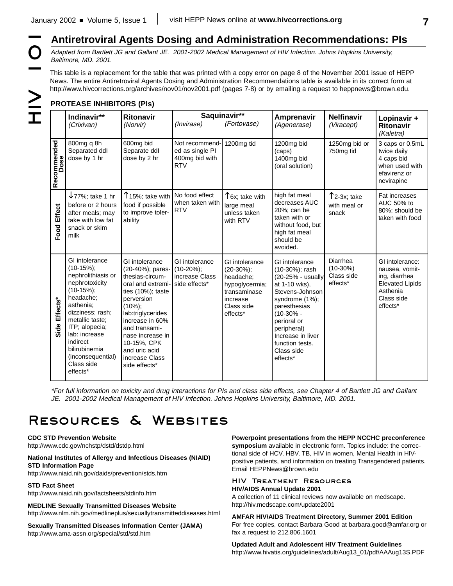Adapted from Bartlett JG and Gallant JE. 2001-2002 Medical Management of HIV Infection. Johns Hopkins University, Baltimore, MD. 2001.

**Antiretroviral Agents Dosing and Administration Recommendations: PIs**<br> *Adapted from Bartlett JG and Gallant JE. 2001-2002 Medical Management of HIV Infection. Johns Hopkins University,*<br>
This table is a replacement for t This table is a replacement for the table that was printed with a copy error on page 8 of the November 2001 issue of HEPP News. The entire Antiretroviral Agents Dosing and Administration Recommendations table is available in its correct form at http://www.hivcorrections.org/archives/nov01/nov2001.pdf (pages 7-8) or by emailing a request to heppnews@brown.edu.

# **PROTEASE INHIBITORS (PIs)**

|                     | Indinavir**<br>(Crixivan)                                                                                                                                                                                                                                                | <b>Ritonavir</b><br>(Norvir)                                                                                                                                                                                                                                                | (Invirase)                                                         | Saquinavir**<br>(Fortovase)                                                                                          | Amprenavir<br>(Agenerase)                                                                                                                                                                                                                  | <b>Nelfinavir</b><br>(Viracept)                  | Lopinavir +<br><b>Ritonavir</b><br>(Kaletra)                                                                       |
|---------------------|--------------------------------------------------------------------------------------------------------------------------------------------------------------------------------------------------------------------------------------------------------------------------|-----------------------------------------------------------------------------------------------------------------------------------------------------------------------------------------------------------------------------------------------------------------------------|--------------------------------------------------------------------|----------------------------------------------------------------------------------------------------------------------|--------------------------------------------------------------------------------------------------------------------------------------------------------------------------------------------------------------------------------------------|--------------------------------------------------|--------------------------------------------------------------------------------------------------------------------|
| Recommended<br>Dose | 800mg q 8h<br>Separated ddl<br>dose by 1 hr                                                                                                                                                                                                                              | 600mg bid<br>Separate ddl<br>dose by 2 hr                                                                                                                                                                                                                                   | Not recommend-<br>ed as single PI<br>400mg bid with<br><b>RTV</b>  | 1200mg tid                                                                                                           | 1200mg bid<br>(caps)<br>1400mg bid<br>(oral solution)                                                                                                                                                                                      | 1250mg bid or<br>750mg tid                       | 3 caps or 0.5mL<br>twice daily<br>4 caps bid<br>when used with<br>efavirenz or<br>nevirapine                       |
| Food Effect         | $\downarrow$ 77%; take 1 hr<br>before or 2 hours<br>after meals; may<br>take with low fat<br>snack or skim<br>milk                                                                                                                                                       | $T$ 15%; take with<br>food if possible<br>to improve toler-<br>ability                                                                                                                                                                                                      | No food effect<br>when taken with<br><b>RTV</b>                    | $T$ 6x; take with<br>large meal<br>unless taken<br>with RTV                                                          | high fat meal<br>decreases AUC<br>20%; can be<br>taken with or<br>without food, but<br>high fat meal<br>should be<br>avoided.                                                                                                              | $\uparrow$ 2-3x; take<br>with meal or<br>snack   | Fat increases<br>AUC 50% to<br>80%; should be<br>taken with food                                                   |
| Side Effects*       | GI intolerance<br>$(10-15\%)$ ;<br>nephrolithiasis or<br>nephrotoxicity<br>$(10-15\%)$ ;<br>headache;<br>asthenia;<br>dizziness; rash;<br>metallic taste:<br>ITP; alopecia;<br>lab: increase<br>indirect<br>bilirubinemia<br>(inconsequential)<br>Class side<br>effects* | GI intolerance<br>(20-40%); pares-<br>thesias-circum-<br>oral and extremi-<br>ties (10%); taste<br>perversion<br>$(10\%)$ ;<br>lab:triglycerides<br>increase in 60%<br>and transami-<br>nase increase in<br>10-15%, CPK<br>and uric acid<br>increase Class<br>side effects* | GI intolerance<br>$(10-20\%)$ ;<br>increase Class<br>side effects* | GI intolerance<br>$(20-30\%)$ ;<br>headache;<br>hypoglycermia;<br>transaminase<br>increase<br>Class side<br>effects* | GI intolerance<br>(10-30%); rash<br>(20-25% - usually<br>at 1-10 wks),<br>Stevens-Johnson<br>syndrome (1%);<br>paresthesias<br>$(10-30% -$<br>perioral or<br>peripheral)<br>Increase in liver<br>function tests.<br>Class side<br>effects* | Diarrhea<br>$(10-30%)$<br>Class side<br>effects* | GI intolerance:<br>nausea, vomit-<br>ing, diarrhea<br><b>Elevated Lipids</b><br>Asthenia<br>Class side<br>effects* |

\*For full information on toxicity and drug interactions for PIs and class side effects, see Chapter 4 of Bartlett JG and Gallant JE. 2001-2002 Medical Management of HIV Infection. Johns Hopkins University, Baltimore, MD. 2001.

# Resources & Websites

#### **CDC STD Prevention Website**

http://www.cdc.gov/nchstp/dstd/dstdp.html

#### **National Institutes of Allergy and Infectious Diseases (NIAID) STD Information Page**

http://www.niaid.nih.gov/daids/prevention/stds.htm

#### **STD Fact Sheet**

http://www.niaid.nih.gov/factsheets/stdinfo.htm

**MEDLINE Sexually Transmitted Diseases Website** http://www.nlm.nih.gov/medlineplus/sexuallytransmitteddiseases.html

**Sexually Transmitted Diseases Information Center (JAMA)** http://www.ama-assn.org/special/std/std.htm

#### **Powerpoint presentations from the HEPP NCCHC preconference symposium** available in electronic form. Topics include: the correctional side of HCV, HBV, TB, HIV in women, Mental Health in HIVpositive patients, and information on treating Transgendered patients. Email HEPPNews@brown.edu

#### HIV Treatment Resources **HIV/AIDS Annual Update 2001**

A collection of 11 clinical reviews now available on medscape. http://hiv.medscape.com/update2001

#### **AMFAR HIV/AIDS Treatment Directory, Summer 2001 Edition** For free copies, contact Barbara Good at barbara.good@amfar.org or fax a request to 212.806.1601

**Updated Adult and Adolescent HIV Treatment Guidelines** http://www.hivatis.org/guidelines/adult/Aug13\_01/pdf/AAAug13S.PDF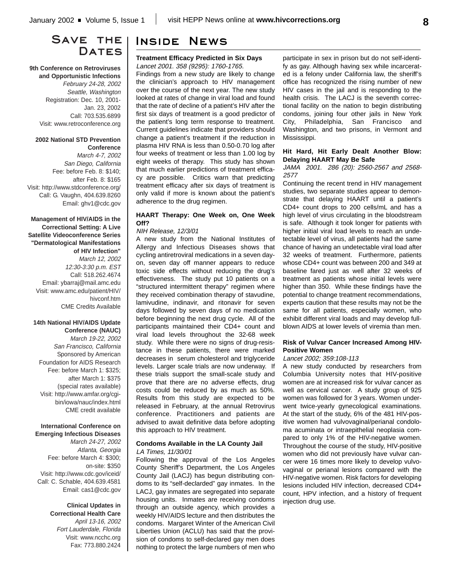# SAVE THE I **DATES**

#### **9th Conference on Retroviruses and Opportunistic Infections**

February 24-28, 2002 Seattle, Washington Registration: Dec. 10, 2001- Jan. 23, 2002 Call: 703.535.6899 Visit: www.retroconference.org

#### **2002 National STD Prevention Conference**

March 4-7, 2002 San Diego, California Fee: before Feb. 8: \$140; after Feb. 8: \$165 Visit: http://www.stdconference.org/ Call: G. Vaughn, 404.639.8260 Email: ghv1@cdc.gov

**Management of HIV/AIDS in the Correctional Setting: A Live Satellite Videoconference Series "Dermatological Manifestations of HIV Infection"** March 12, 2002 12:30-3:30 p.m. EST Call: 518.262.4674 Email: ybarraj@mail.amc.edu Visit: www.amc.edu/patient/HIV/ hivconf.htm CME Credits Available

#### **14th National HIV/AIDS Update Conference (NAUC)**

March 19-22, 2002 San Francisco, California Sponsored by American Foundation for AIDS Research Fee: before March 1: \$325; after March 1: \$375 (special rates available) Visit: http://www.amfar.org/cgibin/iowa/nauc/index.html CME credit available

#### **International Conference on Emerging Infectious Diseases**

March 24-27, 2002 Atlanta, Georgia Fee: before March 4: \$300; on-site: \$350 Visit: http://www.cdc.gov/iceid/ Call: C. Schable, 404.639.4581 Email: cas1@cdc.gov

#### **Clinical Updates in Correctional Health Care** April 13-16, 2002 Fort Lauderdale, Florida Visit: www.ncchc.org Fax: 773.880.2424

# Inside News

#### **Treatment Efficacy Predicted in Six Days** Lancet 2001. 358 (9295): 1760-1765.

Findings from a new study are likely to change the clinician's approach to HIV management over the course of the next year. The new study looked at rates of change in viral load and found that the rate of decline of a patient's HIV after the first six days of treatment is a good predictor of the patient's long term response to treatment. Current guidelines indicate that providers should change a patient's treatment if the reduction in plasma HIV RNA is less than 0.50-0.70 log after four weeks of treatment or less than 1.00 log by eight weeks of therapy. This study has shown that much earlier predictions of treatment efficacy are possible. Critics warn that predicting treatment efficacy after six days of treatment is only valid if more is known about the patient's adherence to the drug regimen.

#### **HAART Therapy: One Week on, One Week Off?**

#### NIH Release, 12/3/01

A new study from the National Institutes of Allergy and Infectious Diseases shows that cycling antiretroviral medications in a seven dayon, seven day off manner appears to reduce toxic side effects without reducing the drug's effectiveness. The study put 10 patients on a "structured intermittent therapy" regimen where they received combination therapy of stavudine, lamivudine, indinavir, and ritonavir for seven days followed by seven days of no medication before beginning the next drug cycle. All of the participants maintained their CD4+ count and viral load levels throughout the 32-68 week study. While there were no signs of drug-resistance in these patients, there were marked decreases in serum cholesterol and triglyceride levels. Larger scale trials are now underway. If these trials support the small-scale study and prove that there are no adverse effects, drug costs could be reduced by as much as 50%. Results from this study are expected to be released in February, at the annual Retrovirus conference. Practitioners and patients are advised to await definitive data before adopting this approach to HIV treatment.

#### **Condoms Available in the LA County Jail** LA Times, 11/30/01

Following the approval of the Los Angeles County Sheriff's Department, the Los Angeles County Jail (LACJ) has begun distributing condoms to its "self-declarded" gay inmates. In the LACJ, gay inmates are segregated into separate housing units. Inmates are receiving condoms through an outside agency, which provides a weekly HIV/AIDS lecture and then distributes the condoms. Margaret Winter of the American Civil Liberties Union (ACLU) has said that the provision of condoms to self-declared gay men does nothing to protect the large numbers of men who participate in sex in prison but do not self-identify as gay. Although having sex while incarcerated is a felony under California law, the sheriff's office has recognized the rising number of new HIV cases in the jail and is responding to the health crisis. The LACJ is the seventh correctional facility on the nation to begin distributing condoms, joining four other jails in New York City, Philadelphia, San Francisco and Washington, and two prisons, in Vermont and Mississippi.

#### **Hit Hard, Hit Early Dealt Another Blow: Delaying HAART May Be Safe**

JAMA 2001. 286 (20): 2560-2567 and 2568- 2577

Continuing the recent trend in HIV management studies, two separate studies appear to demonstrate that delaying HAART until a patient's CD4+ count drops to 200 cells/mL and has a high level of virus circulating in the bloodstream is safe. Although it took longer for patients with higher initial viral load levels to reach an undetectable level of virus, all patients had the same chance of having an undetectable viral load after 32 weeks of treatment. Furthermore, patients whose CD4+ count was between 200 and 349 at baseline fared just as well after 32 weeks of treatment as patients whose initial levels were higher than 350. While these findings have the potential to change treatment recommendations, experts caution that these results may not be the same for all patients, especially women, who exhibit different viral loads and may develop fullblown AIDS at lower levels of viremia than men.

#### **Risk of Vulvar Cancer Increased Among HIV-Positive Women**

#### Lancet 2002; 359:108-113

A new study conducted by researchers from Columbia University notes that HIV-positive women are at increased risk for vulvar cancer as well as cervical cancer. A study group of 925 women was followed for 3 years. Women underwent twice-yearly gynecological examinations. At the start of the study, 6% of the 481 HIV-positive women had vulvovaginal/perianal condoloma acuminata or intraepithelial neoplasia compared to only 1% of the HIV-negative women. Throughout the course of the study, HIV-positive women who did not previously have vulvar cancer were 16 times more likely to develop vulvovaginal or perianal lesions compared with the HIV-negative women. Risk factors for developing lesions included HIV infection, decreased CD4+ count, HPV infection, and a history of frequent injection drug use.